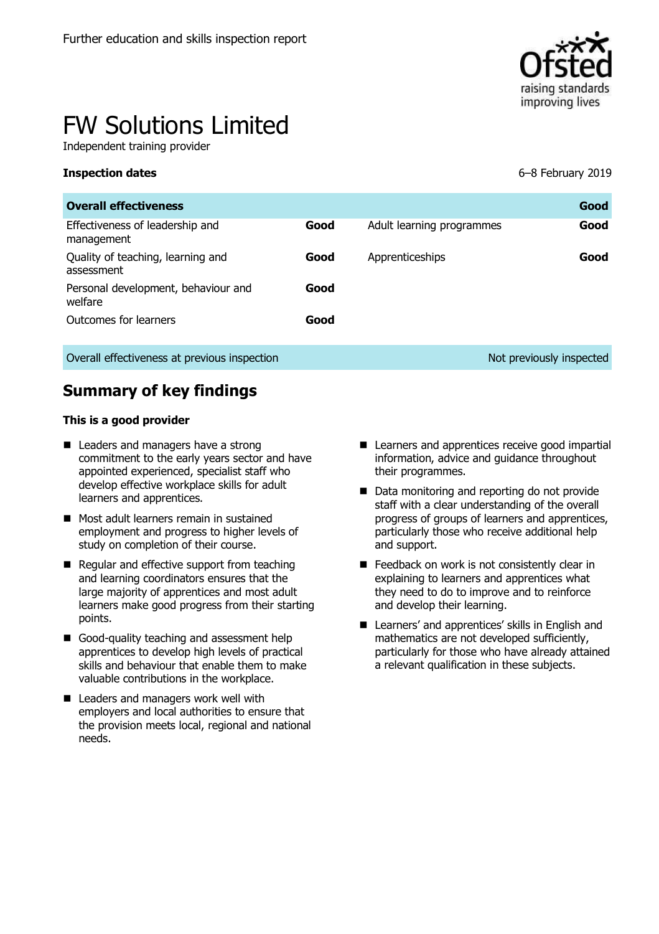

# FW Solutions Limited

Independent training provider

**Inspection dates** 6–8 February 2019

| <b>Overall effectiveness</b>                    |      |                           | Good                     |
|-------------------------------------------------|------|---------------------------|--------------------------|
| Effectiveness of leadership and<br>management   | Good | Adult learning programmes | Good                     |
| Quality of teaching, learning and<br>assessment | Good | Apprenticeships           | Good                     |
| Personal development, behaviour and<br>welfare  | Good |                           |                          |
| Outcomes for learners                           | Good |                           |                          |
| Overall effectiveness at previous inspection    |      |                           | Not previously inspected |

# **Summary of key findings**

#### **This is a good provider**

- Leaders and managers have a strong commitment to the early years sector and have appointed experienced, specialist staff who develop effective workplace skills for adult learners and apprentices.
- **Most adult learners remain in sustained** employment and progress to higher levels of study on completion of their course.
- Regular and effective support from teaching and learning coordinators ensures that the large majority of apprentices and most adult learners make good progress from their starting points.
- Good-quality teaching and assessment help apprentices to develop high levels of practical skills and behaviour that enable them to make valuable contributions in the workplace.
- Leaders and managers work well with employers and local authorities to ensure that the provision meets local, regional and national needs.
- Learners and apprentices receive good impartial information, advice and guidance throughout their programmes.
- Data monitoring and reporting do not provide staff with a clear understanding of the overall progress of groups of learners and apprentices, particularly those who receive additional help and support.
- Feedback on work is not consistently clear in explaining to learners and apprentices what they need to do to improve and to reinforce and develop their learning.
- Learners' and apprentices' skills in English and mathematics are not developed sufficiently, particularly for those who have already attained a relevant qualification in these subjects.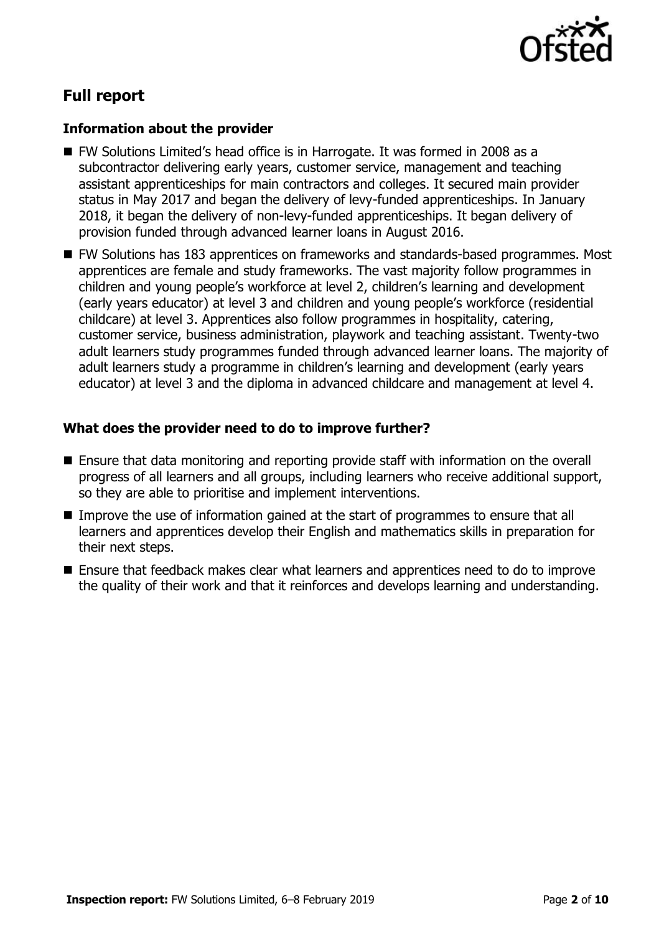

# **Full report**

#### **Information about the provider**

- FW Solutions Limited's head office is in Harrogate. It was formed in 2008 as a subcontractor delivering early years, customer service, management and teaching assistant apprenticeships for main contractors and colleges. It secured main provider status in May 2017 and began the delivery of levy-funded apprenticeships. In January 2018, it began the delivery of non-levy-funded apprenticeships. It began delivery of provision funded through advanced learner loans in August 2016.
- FW Solutions has 183 apprentices on frameworks and standards-based programmes. Most apprentices are female and study frameworks. The vast majority follow programmes in children and young people's workforce at level 2, children's learning and development (early years educator) at level 3 and children and young people's workforce (residential childcare) at level 3. Apprentices also follow programmes in hospitality, catering, customer service, business administration, playwork and teaching assistant. Twenty-two adult learners study programmes funded through advanced learner loans. The majority of adult learners study a programme in children's learning and development (early years educator) at level 3 and the diploma in advanced childcare and management at level 4.

#### **What does the provider need to do to improve further?**

- Ensure that data monitoring and reporting provide staff with information on the overall progress of all learners and all groups, including learners who receive additional support, so they are able to prioritise and implement interventions.
- Improve the use of information gained at the start of programmes to ensure that all learners and apprentices develop their English and mathematics skills in preparation for their next steps.
- Ensure that feedback makes clear what learners and apprentices need to do to improve the quality of their work and that it reinforces and develops learning and understanding.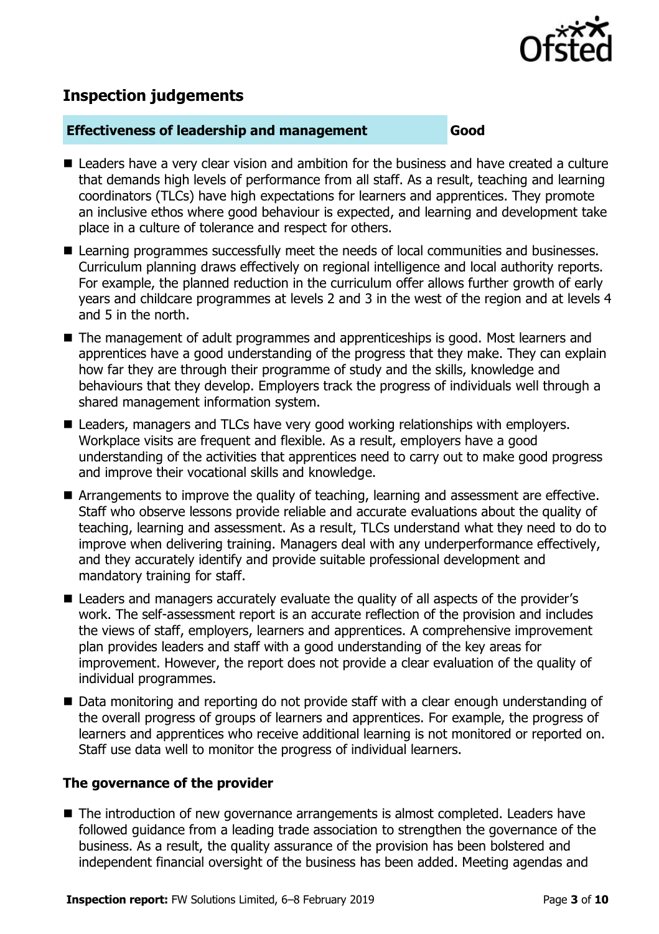

# **Inspection judgements**

#### **Effectiveness of leadership and management Good**

- Leaders have a very clear vision and ambition for the business and have created a culture that demands high levels of performance from all staff. As a result, teaching and learning coordinators (TLCs) have high expectations for learners and apprentices. They promote an inclusive ethos where good behaviour is expected, and learning and development take place in a culture of tolerance and respect for others.
- Learning programmes successfully meet the needs of local communities and businesses. Curriculum planning draws effectively on regional intelligence and local authority reports. For example, the planned reduction in the curriculum offer allows further growth of early years and childcare programmes at levels 2 and 3 in the west of the region and at levels 4 and 5 in the north.
- The management of adult programmes and apprenticeships is good. Most learners and apprentices have a good understanding of the progress that they make. They can explain how far they are through their programme of study and the skills, knowledge and behaviours that they develop. Employers track the progress of individuals well through a shared management information system.
- Leaders, managers and TLCs have very good working relationships with employers. Workplace visits are frequent and flexible. As a result, employers have a good understanding of the activities that apprentices need to carry out to make good progress and improve their vocational skills and knowledge.
- Arrangements to improve the quality of teaching, learning and assessment are effective. Staff who observe lessons provide reliable and accurate evaluations about the quality of teaching, learning and assessment. As a result, TLCs understand what they need to do to improve when delivering training. Managers deal with any underperformance effectively, and they accurately identify and provide suitable professional development and mandatory training for staff.
- Leaders and managers accurately evaluate the quality of all aspects of the provider's work. The self-assessment report is an accurate reflection of the provision and includes the views of staff, employers, learners and apprentices. A comprehensive improvement plan provides leaders and staff with a good understanding of the key areas for improvement. However, the report does not provide a clear evaluation of the quality of individual programmes.
- Data monitoring and reporting do not provide staff with a clear enough understanding of the overall progress of groups of learners and apprentices. For example, the progress of learners and apprentices who receive additional learning is not monitored or reported on. Staff use data well to monitor the progress of individual learners.

#### **The governance of the provider**

■ The introduction of new governance arrangements is almost completed. Leaders have followed guidance from a leading trade association to strengthen the governance of the business. As a result, the quality assurance of the provision has been bolstered and independent financial oversight of the business has been added. Meeting agendas and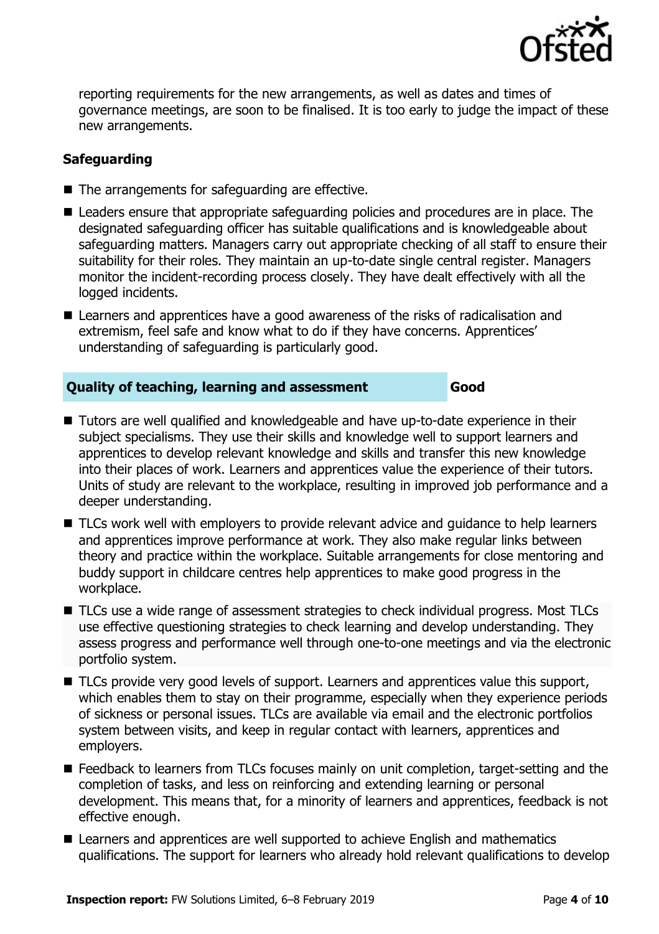

reporting requirements for the new arrangements, as well as dates and times of governance meetings, are soon to be finalised. It is too early to judge the impact of these new arrangements.

### **Safeguarding**

- . ■ The arrangements for safeguarding are effective.
- $\overline{\phantom{a}}$ **Leaders ensure that appropriate safeguarding policies and procedures are in place. The** designated safeguarding officer has suitable qualifications and is knowledgeable about safeguarding matters. Managers carry out appropriate checking of all staff to ensure their suitability for their roles. They maintain an up-to-date single central register. Managers monitor the incident-recording process closely. They have dealt effectively with all the logged incidents.
- Learners and apprentices have a good awareness of the risks of radicalisation and extremism, feel safe and know what to do if they have concerns. Apprentices' understanding of safeguarding is particularly good.

#### **Quality of teaching, learning and assessment Good**

- Tutors are well qualified and knowledgeable and have up-to-date experience in their subject specialisms. They use their skills and knowledge well to support learners and apprentices to develop relevant knowledge and skills and transfer this new knowledge into their places of work. Learners and apprentices value the experience of their tutors. Units of study are relevant to the workplace, resulting in improved job performance and a deeper understanding.
- TLCs work well with employers to provide relevant advice and quidance to help learners and apprentices improve performance at work. They also make regular links between theory and practice within the workplace. Suitable arrangements for close mentoring and buddy support in childcare centres help apprentices to make good progress in the workplace.
- TLCs use a wide range of assessment strategies to check individual progress. Most TLCs use effective questioning strategies to check learning and develop understanding. They assess progress and performance well through one-to-one meetings and via the electronic portfolio system.
- TLCs provide very good levels of support. Learners and apprentices value this support, which enables them to stay on their programme, especially when they experience periods of sickness or personal issues. TLCs are available via email and the electronic portfolios system between visits, and keep in regular contact with learners, apprentices and employers.
- Feedback to learners from TLCs focuses mainly on unit completion, target-setting and the completion of tasks, and less on reinforcing and extending learning or personal development. This means that, for a minority of learners and apprentices, feedback is not effective enough.
- Learners and apprentices are well supported to achieve English and mathematics qualifications. The support for learners who already hold relevant qualifications to develop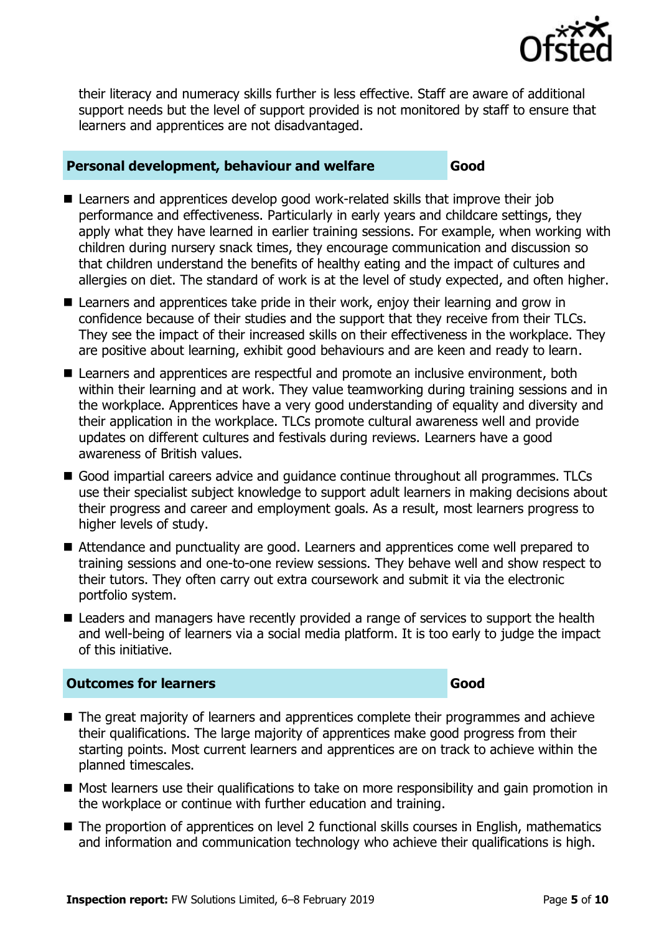

their literacy and numeracy skills further is less effective. Staff are aware of additional support needs but the level of support provided is not monitored by staff to ensure that learners and apprentices are not disadvantaged.

#### **Personal development, behaviour and welfare Good**

- Learners and apprentices develop good work-related skills that improve their job performance and effectiveness. Particularly in early years and childcare settings, they apply what they have learned in earlier training sessions. For example, when working with children during nursery snack times, they encourage communication and discussion so that children understand the benefits of healthy eating and the impact of cultures and allergies on diet. The standard of work is at the level of study expected, and often higher.
- Learners and apprentices take pride in their work, enjoy their learning and grow in confidence because of their studies and the support that they receive from their TLCs. They see the impact of their increased skills on their effectiveness in the workplace. They are positive about learning, exhibit good behaviours and are keen and ready to learn.
- Learners and apprentices are respectful and promote an inclusive environment, both within their learning and at work. They value teamworking during training sessions and in the workplace. Apprentices have a very good understanding of equality and diversity and their application in the workplace. TLCs promote cultural awareness well and provide updates on different cultures and festivals during reviews. Learners have a good awareness of British values.
- Good impartial careers advice and guidance continue throughout all programmes. TLCs use their specialist subject knowledge to support adult learners in making decisions about their progress and career and employment goals. As a result, most learners progress to higher levels of study.
- Attendance and punctuality are good. Learners and apprentices come well prepared to training sessions and one-to-one review sessions. They behave well and show respect to their tutors. They often carry out extra coursework and submit it via the electronic portfolio system.
- Leaders and managers have recently provided a range of services to support the health and well-being of learners via a social media platform. It is too early to judge the impact of this initiative.

#### **Outcomes for learners Good**

- The great majority of learners and apprentices complete their programmes and achieve their qualifications. The large majority of apprentices make good progress from their starting points. Most current learners and apprentices are on track to achieve within the planned timescales.
- Most learners use their qualifications to take on more responsibility and gain promotion in the workplace or continue with further education and training.
- The proportion of apprentices on level 2 functional skills courses in English, mathematics and information and communication technology who achieve their qualifications is high.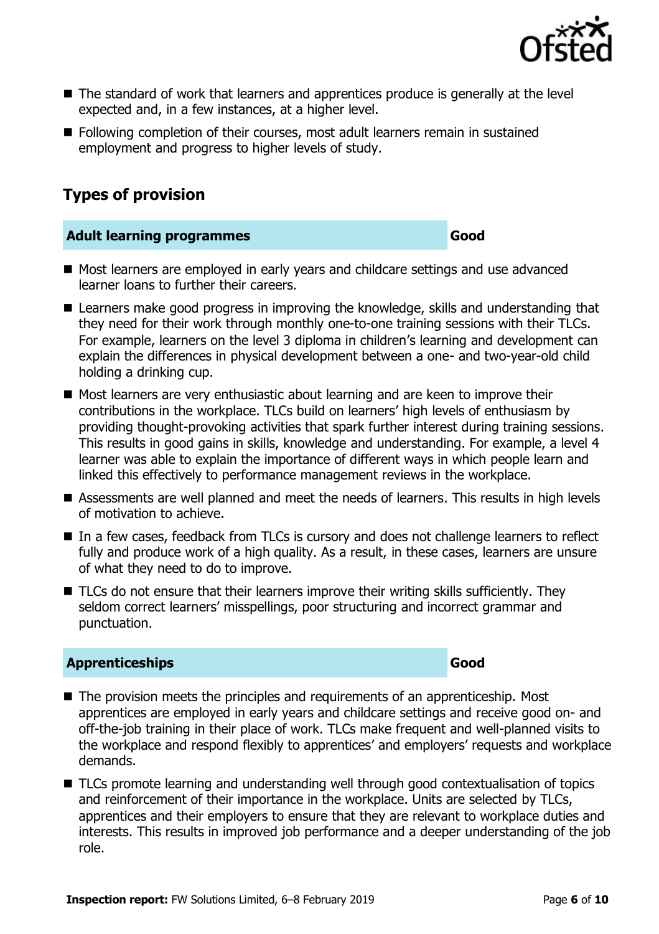

- The standard of work that learners and apprentices produce is generally at the level expected and, in a few instances, at a higher level.
- **Following completion of their courses, most adult learners remain in sustained** employment and progress to higher levels of study.

# **Types of provision**

#### **Adult learning programmes Good**

- Most learners are employed in early years and childcare settings and use advanced learner loans to further their careers.
- **E** Learners make good progress in improving the knowledge, skills and understanding that they need for their work through monthly one-to-one training sessions with their TLCs. For example, learners on the level 3 diploma in children's learning and development can explain the differences in physical development between a one- and two-year-old child holding a drinking cup.
- Most learners are very enthusiastic about learning and are keen to improve their contributions in the workplace. TLCs build on learners' high levels of enthusiasm by providing thought-provoking activities that spark further interest during training sessions. This results in good gains in skills, knowledge and understanding. For example, a level 4 learner was able to explain the importance of different ways in which people learn and linked this effectively to performance management reviews in the workplace.
- Assessments are well planned and meet the needs of learners. This results in high levels of motivation to achieve.
- In a few cases, feedback from TLCs is cursory and does not challenge learners to reflect fully and produce work of a high quality. As a result, in these cases, learners are unsure of what they need to do to improve.
- TLCs do not ensure that their learners improve their writing skills sufficiently. They seldom correct learners' misspellings, poor structuring and incorrect grammar and punctuation.

#### **Apprenticeships Good**

- The provision meets the principles and requirements of an apprenticeship. Most apprentices are employed in early years and childcare settings and receive good on- and off-the-job training in their place of work. TLCs make frequent and well-planned visits to the workplace and respond flexibly to apprentices' and employers' requests and workplace demands.
- TLCs promote learning and understanding well through good contextualisation of topics and reinforcement of their importance in the workplace. Units are selected by TLCs, apprentices and their employers to ensure that they are relevant to workplace duties and interests. This results in improved job performance and a deeper understanding of the job role.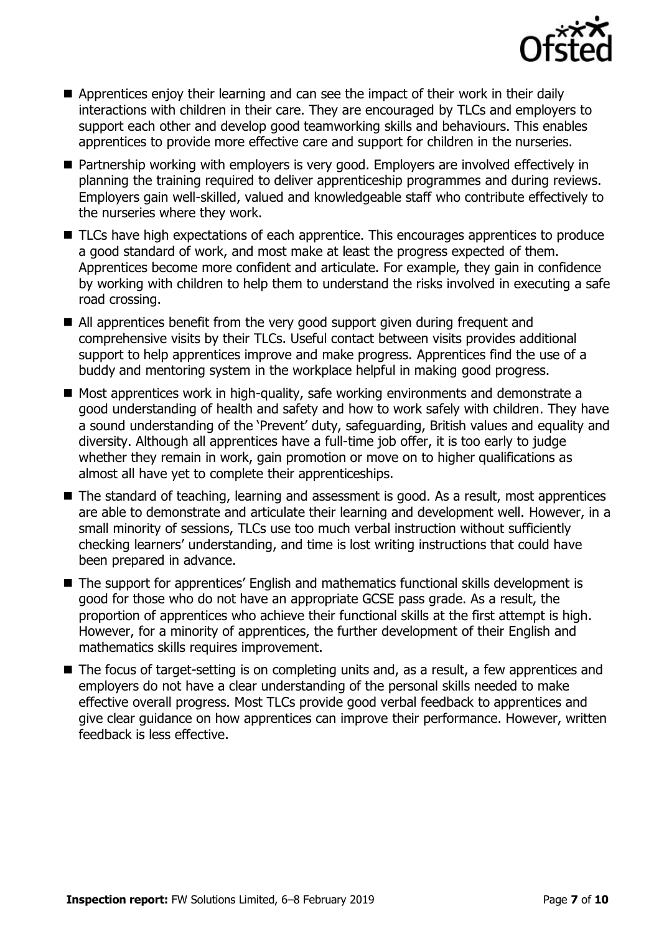

- Apprentices enjoy their learning and can see the impact of their work in their daily interactions with children in their care. They are encouraged by TLCs and employers to support each other and develop good teamworking skills and behaviours. This enables apprentices to provide more effective care and support for children in the nurseries.
- Partnership working with employers is very good. Employers are involved effectively in planning the training required to deliver apprenticeship programmes and during reviews. Employers gain well-skilled, valued and knowledgeable staff who contribute effectively to the nurseries where they work.
- TLCs have high expectations of each apprentice. This encourages apprentices to produce a good standard of work, and most make at least the progress expected of them. Apprentices become more confident and articulate. For example, they gain in confidence by working with children to help them to understand the risks involved in executing a safe road crossing.
- All apprentices benefit from the very good support given during frequent and comprehensive visits by their TLCs. Useful contact between visits provides additional support to help apprentices improve and make progress. Apprentices find the use of a buddy and mentoring system in the workplace helpful in making good progress.
- Most apprentices work in high-quality, safe working environments and demonstrate a good understanding of health and safety and how to work safely with children. They have a sound understanding of the 'Prevent' duty, safeguarding, British values and equality and diversity. Although all apprentices have a full-time job offer, it is too early to judge whether they remain in work, gain promotion or move on to higher qualifications as almost all have yet to complete their apprenticeships.
- The standard of teaching, learning and assessment is good. As a result, most apprentices are able to demonstrate and articulate their learning and development well. However, in a small minority of sessions, TLCs use too much verbal instruction without sufficiently checking learners' understanding, and time is lost writing instructions that could have been prepared in advance.
- The support for apprentices' English and mathematics functional skills development is good for those who do not have an appropriate GCSE pass grade. As a result, the proportion of apprentices who achieve their functional skills at the first attempt is high. However, for a minority of apprentices, the further development of their English and mathematics skills requires improvement.
- The focus of target-setting is on completing units and, as a result, a few apprentices and employers do not have a clear understanding of the personal skills needed to make effective overall progress. Most TLCs provide good verbal feedback to apprentices and give clear guidance on how apprentices can improve their performance. However, written feedback is less effective.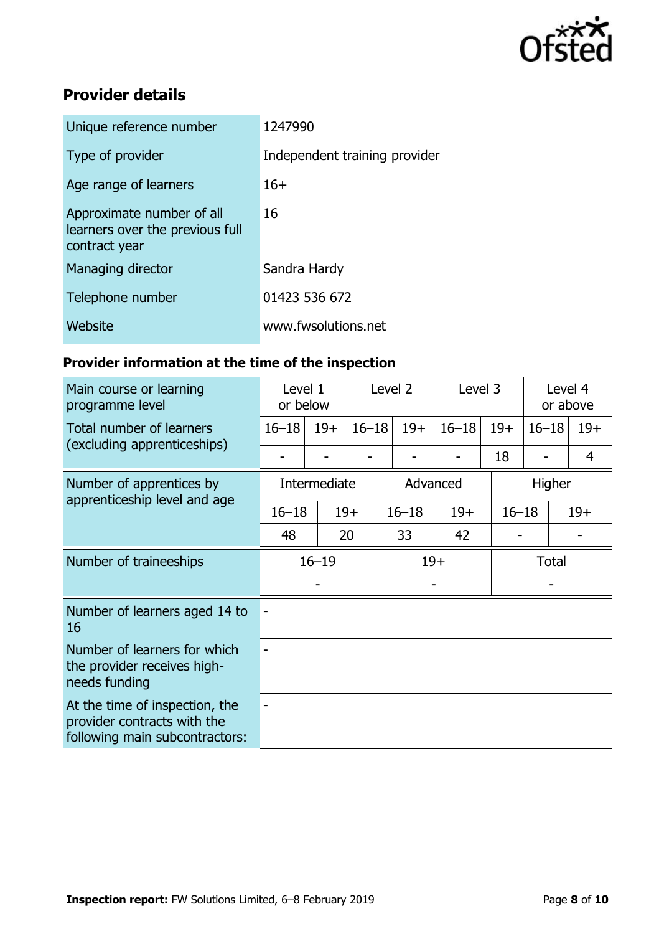

# **Provider details**

| 1247990                       |
|-------------------------------|
| Independent training provider |
| $16+$                         |
| 16                            |
| Sandra Hardy                  |
| 01423 536 672                 |
| www.fwsolutions.net           |
|                               |

# **Provider information at the time of the inspection**

| Main course or learning<br>programme level                                                      | Level 1<br>or below |          | Level 2   |           | Level 3 |           | Level 4<br>or above |              |                |
|-------------------------------------------------------------------------------------------------|---------------------|----------|-----------|-----------|---------|-----------|---------------------|--------------|----------------|
| Total number of learners<br>(excluding apprenticeships)                                         | $16 - 18$           | $19+$    | $16 - 18$ |           | $19+$   | $16 - 18$ | $19+$               | $16 - 18$    | $19+$          |
|                                                                                                 |                     |          |           |           |         |           | 18                  |              | $\overline{4}$ |
| Number of apprentices by<br>apprenticeship level and age                                        | Intermediate        | Advanced |           |           |         |           | Higher              |              |                |
|                                                                                                 | $16 - 18$           | $19+$    |           | $16 - 18$ |         | $19+$     | $16 - 18$           |              | $19+$          |
|                                                                                                 | 48                  | 20       |           |           | 33      | 42        |                     |              |                |
| Number of traineeships                                                                          | $16 - 19$           |          |           | $19+$     |         |           |                     | <b>Total</b> |                |
|                                                                                                 |                     |          |           |           |         |           |                     |              |                |
| Number of learners aged 14 to<br>16                                                             |                     |          |           |           |         |           |                     |              |                |
| Number of learners for which<br>the provider receives high-<br>needs funding                    |                     |          |           |           |         |           |                     |              |                |
| At the time of inspection, the<br>provider contracts with the<br>following main subcontractors: |                     |          |           |           |         |           |                     |              |                |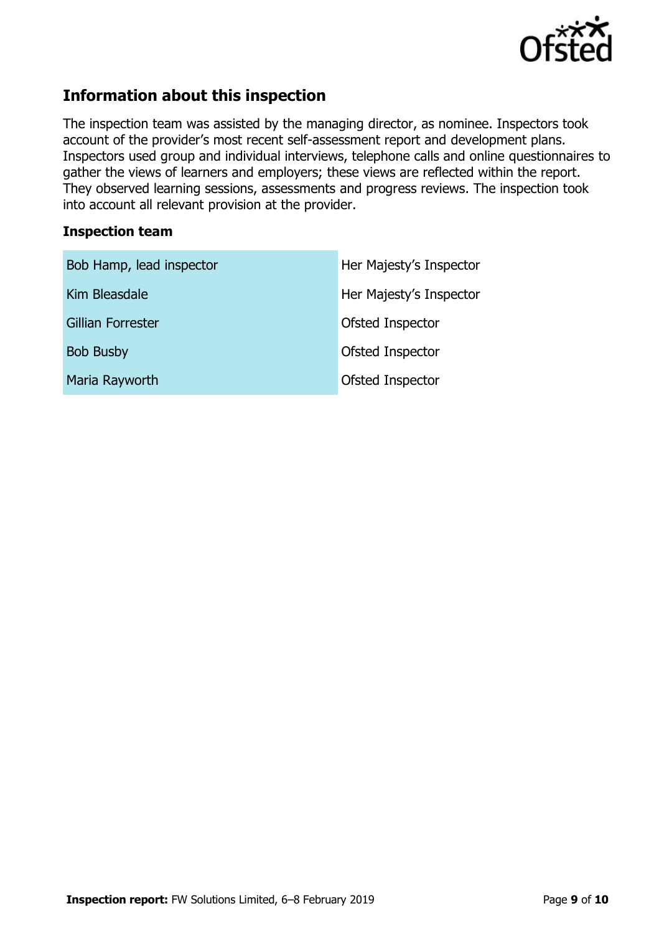

# **Information about this inspection**

The inspection team was assisted by the managing director, as nominee. Inspectors took account of the provider's most recent self-assessment report and development plans. Inspectors used group and individual interviews, telephone calls and online questionnaires to gather the views of learners and employers; these views are reflected within the report. They observed learning sessions, assessments and progress reviews. The inspection took into account all relevant provision at the provider.

#### **Inspection team**

| Bob Hamp, lead inspector | Her Majesty's Inspector |
|--------------------------|-------------------------|
| Kim Bleasdale            | Her Majesty's Inspector |
| Gillian Forrester        | Ofsted Inspector        |
| <b>Bob Busby</b>         | Ofsted Inspector        |
| Maria Rayworth           | Ofsted Inspector        |